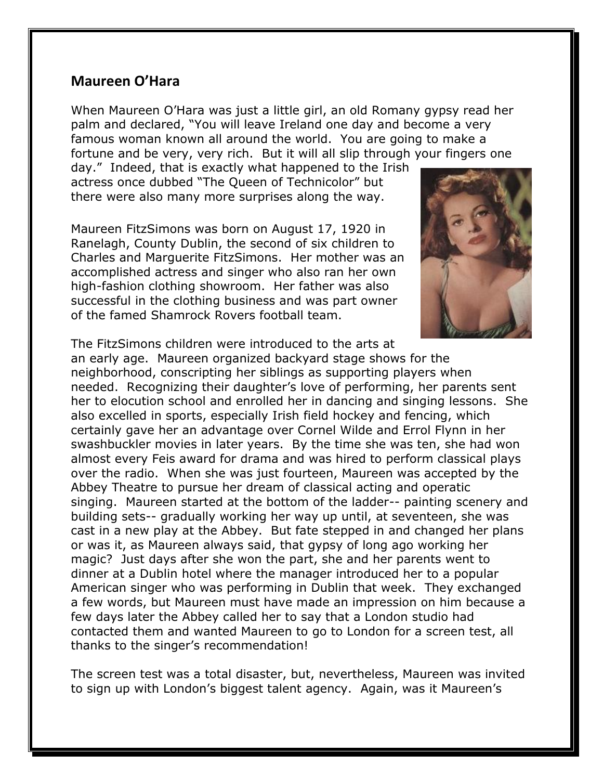## **Maureen O'Hara**

When Maureen O'Hara was just a little girl, an old Romany gypsy read her palm and declared, "You will leave Ireland one day and become a very famous woman known all around the world. You are going to make a fortune and be very, very rich. But it will all slip through your fingers one

day." Indeed, that is exactly what happened to the Irish actress once dubbed "The Queen of Technicolor" but there were also many more surprises along the way.

Maureen FitzSimons was born on August 17, 1920 in Ranelagh, County Dublin, the second of six children to Charles and Marguerite FitzSimons. Her mother was an accomplished actress and singer who also ran her own high-fashion clothing showroom. Her father was also successful in the clothing business and was part owner of the famed Shamrock Rovers football team.



The FitzSimons children were introduced to the arts at an early age. Maureen organized backyard stage shows for the neighborhood, conscripting her siblings as supporting players when needed. Recognizing their daughter's love of performing, her parents sent her to elocution school and enrolled her in dancing and singing lessons. She also excelled in sports, especially Irish field hockey and fencing, which certainly gave her an advantage over Cornel Wilde and Errol Flynn in her swashbuckler movies in later years. By the time she was ten, she had won almost every Feis award for drama and was hired to perform classical plays over the radio. When she was just fourteen, Maureen was accepted by the Abbey Theatre to pursue her dream of classical acting and operatic singing. Maureen started at the bottom of the ladder-- painting scenery and building sets-- gradually working her way up until, at seventeen, she was cast in a new play at the Abbey. But fate stepped in and changed her plans or was it, as Maureen always said, that gypsy of long ago working her magic? Just days after she won the part, she and her parents went to dinner at a Dublin hotel where the manager introduced her to a popular American singer who was performing in Dublin that week. They exchanged a few words, but Maureen must have made an impression on him because a few days later the Abbey called her to say that a London studio had contacted them and wanted Maureen to go to London for a screen test, all thanks to the singer's recommendation!

The screen test was a total disaster, but, nevertheless, Maureen was invited to sign up with London's biggest talent agency. Again, was it Maureen's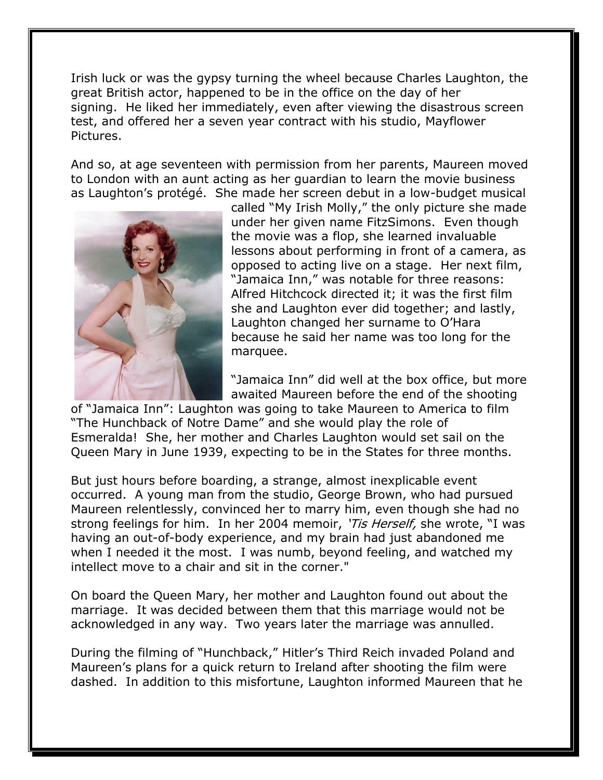Irish luck or was the gypsy turning the wheel because Charles Laughton, the great British actor, happened to be in the office on the day of her signing. He liked her immediately, even after viewing the disastrous screen test, and offered her a seven year contract with his studio, Mayflower Pictures.

And so, at age seventeen with permission from her parents, Maureen moved to London with an aunt acting as her guardian to learn the movie business as Laughton's protégé. She made her screen debut in a low-budget musical



called "My Irish Molly," the only picture she made under her given name FitzSimons. Even though the movie was a flop, she learned invaluable lessons about performing in front of a camera, as opposed to acting live on a stage. Her next film, "Jamaica Inn," was notable for three reasons: Alfred Hitchcock directed it; it was the first film she and Laughton ever did together; and lastly, Laughton changed her surname to O'Hara because he said her name was too long for the marquee.

"Jamaica Inn" did well at the box office, but more awaited Maureen before the end of the shooting

of "Jamaica Inn": Laughton was going to take Maureen to America to film "The Hunchback of Notre Dame" and she would play the role of Esmeralda! She, her mother and Charles Laughton would set sail on the Queen Mary in June 1939, expecting to be in the States for three months.

But just hours before boarding, a strange, almost inexplicable event occurred. A young man from the studio, George Brown, who had pursued Maureen relentlessly, convinced her to marry him, even though she had no strong feelings for him. In her 2004 memoir, '*Tis Herself*, she wrote, "I was having an out-of-body experience, and my brain had just abandoned me when I needed it the most. I was numb, beyond feeling, and watched my intellect move to a chair and sit in the corner."

On board the Queen Mary, her mother and Laughton found out about the marriage. It was decided between them that this marriage would not be acknowledged in any way. Two years later the marriage was annulled.

During the filming of "Hunchback," Hitler's Third Reich invaded Poland and Maureen's plans for a quick return to Ireland after shooting the film were dashed. In addition to this misfortune, Laughton informed Maureen that he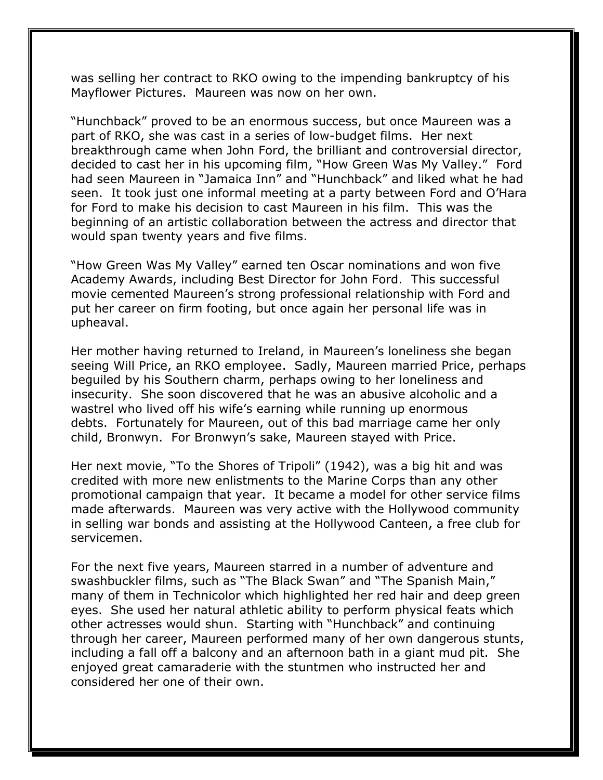was selling her contract to RKO owing to the impending bankruptcy of his Mayflower Pictures. Maureen was now on her own.

"Hunchback" proved to be an enormous success, but once Maureen was a part of RKO, she was cast in a series of low-budget films. Her next breakthrough came when John Ford, the brilliant and controversial director, decided to cast her in his upcoming film, "How Green Was My Valley." Ford had seen Maureen in "Jamaica Inn" and "Hunchback" and liked what he had seen. It took just one informal meeting at a party between Ford and O'Hara for Ford to make his decision to cast Maureen in his film. This was the beginning of an artistic collaboration between the actress and director that would span twenty years and five films.

"How Green Was My Valley" earned ten Oscar nominations and won five Academy Awards, including Best Director for John Ford. This successful movie cemented Maureen's strong professional relationship with Ford and put her career on firm footing, but once again her personal life was in upheaval.

Her mother having returned to Ireland, in Maureen's loneliness she began seeing Will Price, an RKO employee. Sadly, Maureen married Price, perhaps beguiled by his Southern charm, perhaps owing to her loneliness and insecurity. She soon discovered that he was an abusive alcoholic and a wastrel who lived off his wife's earning while running up enormous debts. Fortunately for Maureen, out of this bad marriage came her only child, Bronwyn. For Bronwyn's sake, Maureen stayed with Price.

Her next movie, "To the Shores of Tripoli" (1942), was a big hit and was credited with more new enlistments to the Marine Corps than any other promotional campaign that year. It became a model for other service films made afterwards. Maureen was very active with the Hollywood community in selling war bonds and assisting at the Hollywood Canteen, a free club for servicemen.

For the next five years, Maureen starred in a number of adventure and swashbuckler films, such as "The Black Swan" and "The Spanish Main," many of them in Technicolor which highlighted her red hair and deep green eyes. She used her natural athletic ability to perform physical feats which other actresses would shun. Starting with "Hunchback" and continuing through her career, Maureen performed many of her own dangerous stunts, including a fall off a balcony and an afternoon bath in a giant mud pit. She enjoyed great camaraderie with the stuntmen who instructed her and considered her one of their own.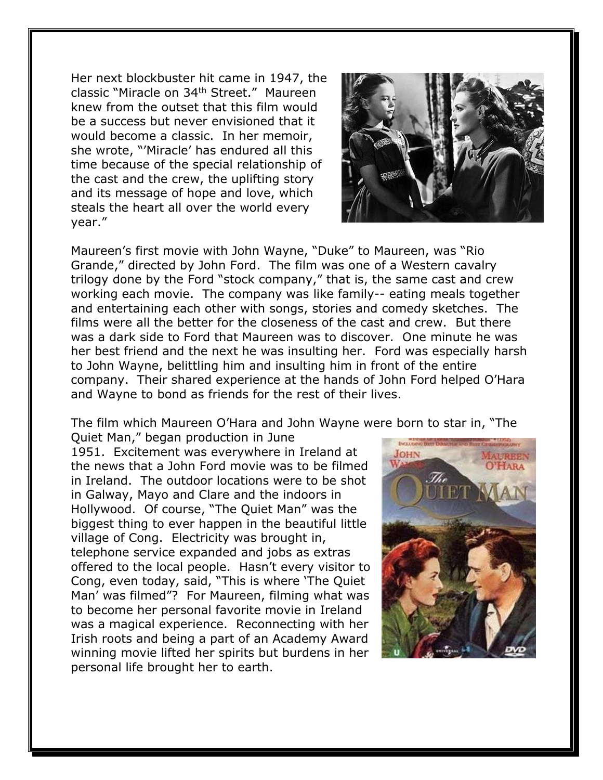Her next blockbuster hit came in 1947, the classic "Miracle on 34th Street." Maureen knew from the outset that this film would be a success but never envisioned that it would become a classic. In her memoir, she wrote, "'Miracle' has endured all this time because of the special relationship of the cast and the crew, the uplifting story and its message of hope and love, which steals the heart all over the world every year."



Maureen's first movie with John Wayne, "Duke" to Maureen, was "Rio Grande," directed by John Ford. The film was one of a Western cavalry trilogy done by the Ford "stock company," that is, the same cast and crew working each movie. The company was like family-- eating meals together and entertaining each other with songs, stories and comedy sketches. The films were all the better for the closeness of the cast and crew. But there was a dark side to Ford that Maureen was to discover. One minute he was her best friend and the next he was insulting her. Ford was especially harsh to John Wayne, belittling him and insulting him in front of the entire company. Their shared experience at the hands of John Ford helped O'Hara and Wayne to bond as friends for the rest of their lives.

The film which Maureen O'Hara and John Wayne were born to star in, "The

Quiet Man," began production in June 1951. Excitement was everywhere in Ireland at the news that a John Ford movie was to be filmed in Ireland. The outdoor locations were to be shot in Galway, Mayo and Clare and the indoors in Hollywood. Of course, "The Quiet Man" was the biggest thing to ever happen in the beautiful little village of Cong. Electricity was brought in, telephone service expanded and jobs as extras offered to the local people. Hasn't every visitor to Cong, even today, said, "This is where 'The Quiet Man' was filmed"? For Maureen, filming what was to become her personal favorite movie in Ireland was a magical experience. Reconnecting with her Irish roots and being a part of an Academy Award winning movie lifted her spirits but burdens in her personal life brought her to earth.